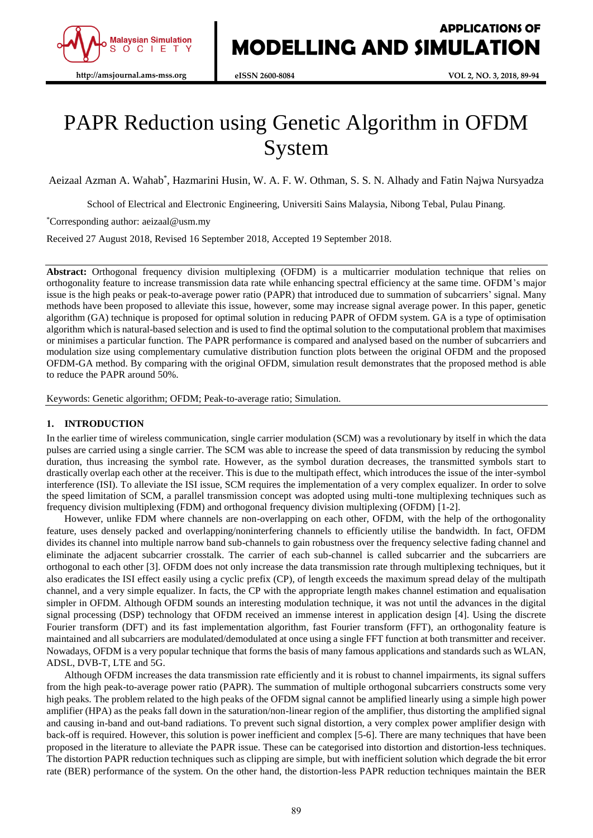

# PAPR Reduction using Genetic Algorithm in OFDM System

Aeizaal Azman A. Wahab\* , Hazmarini Husin, W. A. F. W. Othman, S. S. N. Alhady and Fatin Najwa Nursyadza

School of Electrical and Electronic Engineering, Universiti Sains Malaysia, Nibong Tebal, Pulau Pinang.

\*Corresponding author: aeizaal@usm.my

Received 27 August 2018, Revised 16 September 2018, Accepted 19 September 2018.

**Abstract:** Orthogonal frequency division multiplexing (OFDM) is a multicarrier modulation technique that relies on orthogonality feature to increase transmission data rate while enhancing spectral efficiency at the same time. OFDM's major issue is the high peaks or peak-to-average power ratio (PAPR) that introduced due to summation of subcarriers' signal. Many methods have been proposed to alleviate this issue, however, some may increase signal average power. In this paper, genetic algorithm (GA) technique is proposed for optimal solution in reducing PAPR of OFDM system. GA is a type of optimisation algorithm which is natural-based selection and is used to find the optimal solution to the computational problem that maximises or minimises a particular function. The PAPR performance is compared and analysed based on the number of subcarriers and modulation size using complementary cumulative distribution function plots between the original OFDM and the proposed OFDM-GA method. By comparing with the original OFDM, simulation result demonstrates that the proposed method is able to reduce the PAPR around 50%.

Keywords: Genetic algorithm; OFDM; Peak-to-average ratio; Simulation.

# **1. INTRODUCTION**

In the earlier time of wireless communication, single carrier modulation (SCM) was a revolutionary by itself in which the data pulses are carried using a single carrier. The SCM was able to increase the speed of data transmission by reducing the symbol duration, thus increasing the symbol rate. However, as the symbol duration decreases, the transmitted symbols start to drastically overlap each other at the receiver. This is due to the multipath effect, which introduces the issue of the inter-symbol interference (ISI). To alleviate the ISI issue, SCM requires the implementation of a very complex equalizer. In order to solve the speed limitation of SCM, a parallel transmission concept was adopted using multi-tone multiplexing techniques such as frequency division multiplexing (FDM) and orthogonal frequency division multiplexing (OFDM) [1-2].

However, unlike FDM where channels are non-overlapping on each other, OFDM, with the help of the orthogonality feature, uses densely packed and overlapping/noninterfering channels to efficiently utilise the bandwidth. In fact, OFDM divides its channel into multiple narrow band sub-channels to gain robustness over the frequency selective fading channel and eliminate the adjacent subcarrier crosstalk. The carrier of each sub-channel is called subcarrier and the subcarriers are orthogonal to each other [3]. OFDM does not only increase the data transmission rate through multiplexing techniques, but it also eradicates the ISI effect easily using a cyclic prefix (CP), of length exceeds the maximum spread delay of the multipath channel, and a very simple equalizer. In facts, the CP with the appropriate length makes channel estimation and equalisation simpler in OFDM. Although OFDM sounds an interesting modulation technique, it was not until the advances in the digital signal processing (DSP) technology that OFDM received an immense interest in application design [4]. Using the discrete Fourier transform (DFT) and its fast implementation algorithm, fast Fourier transform (FFT), an orthogonality feature is maintained and all subcarriers are modulated/demodulated at once using a single FFT function at both transmitter and receiver. Nowadays, OFDM is a very popular technique that forms the basis of many famous applications and standards such as WLAN, ADSL, DVB-T, LTE and 5G.

Although OFDM increases the data transmission rate efficiently and it is robust to channel impairments, its signal suffers from the high peak-to-average power ratio (PAPR). The summation of multiple orthogonal subcarriers constructs some very high peaks. The problem related to the high peaks of the OFDM signal cannot be amplified linearly using a simple high power amplifier (HPA) as the peaks fall down in the saturation/non-linear region of the amplifier, thus distorting the amplified signal and causing in-band and out-band radiations. To prevent such signal distortion, a very complex power amplifier design with back-off is required. However, this solution is power inefficient and complex [5-6]. There are many techniques that have been proposed in the literature to alleviate the PAPR issue. These can be categorised into distortion and distortion-less techniques. The distortion PAPR reduction techniques such as clipping are simple, but with inefficient solution which degrade the bit error rate (BER) performance of the system. On the other hand, the distortion-less PAPR reduction techniques maintain the BER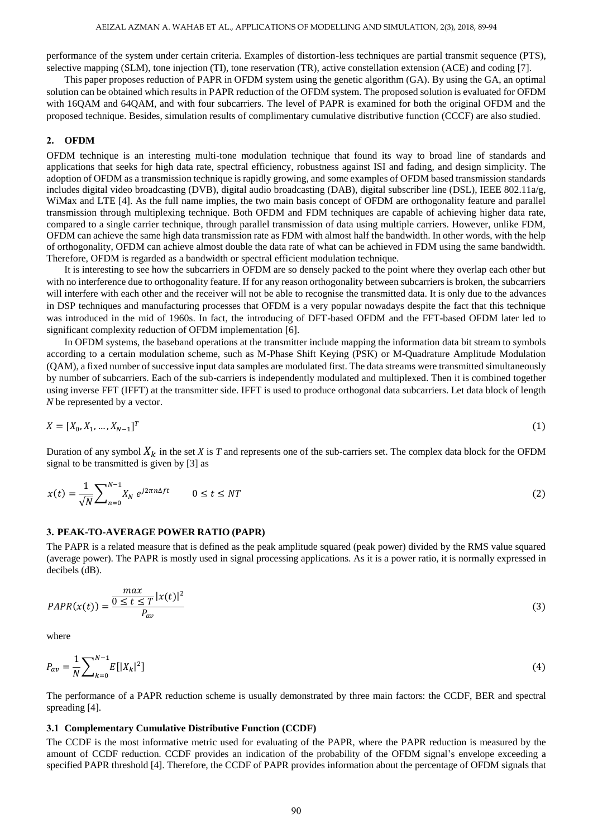performance of the system under certain criteria. Examples of distortion-less techniques are partial transmit sequence (PTS), selective mapping (SLM), tone injection (TI), tone reservation (TR), active constellation extension (ACE) and coding [7].

This paper proposes reduction of PAPR in OFDM system using the genetic algorithm (GA). By using the GA, an optimal solution can be obtained which results in PAPR reduction of the OFDM system. The proposed solution is evaluated for OFDM with 16QAM and 64QAM, and with four subcarriers. The level of PAPR is examined for both the original OFDM and the proposed technique. Besides, simulation results of complimentary cumulative distributive function (CCCF) are also studied.

#### **2. OFDM**

OFDM technique is an interesting multi-tone modulation technique that found its way to broad line of standards and applications that seeks for high data rate, spectral efficiency, robustness against ISI and fading, and design simplicity. The adoption of OFDM as a transmission technique is rapidly growing, and some examples of OFDM based transmission standards includes digital video broadcasting (DVB), digital audio broadcasting (DAB), digital subscriber line (DSL), IEEE 802.11a/g, WiMax and LTE [4]. As the full name implies, the two main basis concept of OFDM are orthogonality feature and parallel transmission through multiplexing technique. Both OFDM and FDM techniques are capable of achieving higher data rate, compared to a single carrier technique, through parallel transmission of data using multiple carriers. However, unlike FDM, OFDM can achieve the same high data transmission rate as FDM with almost half the bandwidth. In other words, with the help of orthogonality, OFDM can achieve almost double the data rate of what can be achieved in FDM using the same bandwidth. Therefore, OFDM is regarded as a bandwidth or spectral efficient modulation technique.

It is interesting to see how the subcarriers in OFDM are so densely packed to the point where they overlap each other but with no interference due to orthogonality feature. If for any reason orthogonality between subcarriers is broken, the subcarriers will interfere with each other and the receiver will not be able to recognise the transmitted data. It is only due to the advances in DSP techniques and manufacturing processes that OFDM is a very popular nowadays despite the fact that this technique was introduced in the mid of 1960s. In fact, the introducing of DFT-based OFDM and the FFT-based OFDM later led to significant complexity reduction of OFDM implementation [6].

In OFDM systems, the baseband operations at the transmitter include mapping the information data bit stream to symbols according to a certain modulation scheme, such as M-Phase Shift Keying (PSK) or M-Quadrature Amplitude Modulation (QAM), a fixed number of successive input data samples are modulated first. The data streams were transmitted simultaneously by number of subcarriers. Each of the sub-carriers is independently modulated and multiplexed. Then it is combined together using inverse FFT (IFFT) at the transmitter side. IFFT is used to produce orthogonal data subcarriers. Let data block of length *N* be represented by a vector.

$$
X = [X_0, X_1, \dots, X_{N-1}]^T
$$
 (1)

Duration of any symbol  $X_k$  in the set *X* is *T* and represents one of the sub-carriers set. The complex data block for the OFDM signal to be transmitted is given by [3] as

$$
x(t) = \frac{1}{\sqrt{N}} \sum_{n=0}^{N-1} X_N e^{j2\pi n\Delta ft} \qquad 0 \le t \le NT
$$

#### **3. PEAK-TO-AVERAGE POWER RATIO (PAPR)**

The PAPR is a related measure that is defined as the peak amplitude squared (peak power) divided by the RMS value squared (average power). The PAPR is mostly used in signal processing applications. As it is a power ratio, it is normally expressed in decibels (dB).

$$
PAPR(x(t)) = \frac{\frac{max}{0 \le t \le T} |x(t)|^2}{P_{av}}
$$
\n
$$
(3)
$$

where

$$
P_{av} = \frac{1}{N} \sum_{k=0}^{N-1} E[|X_k|^2]
$$
\n(4)

The performance of a PAPR reduction scheme is usually demonstrated by three main factors: the CCDF, BER and spectral spreading [4].

#### **3.1 Complementary Cumulative Distributive Function (CCDF)**

The CCDF is the most informative metric used for evaluating of the PAPR, where the PAPR reduction is measured by the amount of CCDF reduction. CCDF provides an indication of the probability of the OFDM signal's envelope exceeding a specified PAPR threshold [4]. Therefore, the CCDF of PAPR provides information about the percentage of OFDM signals that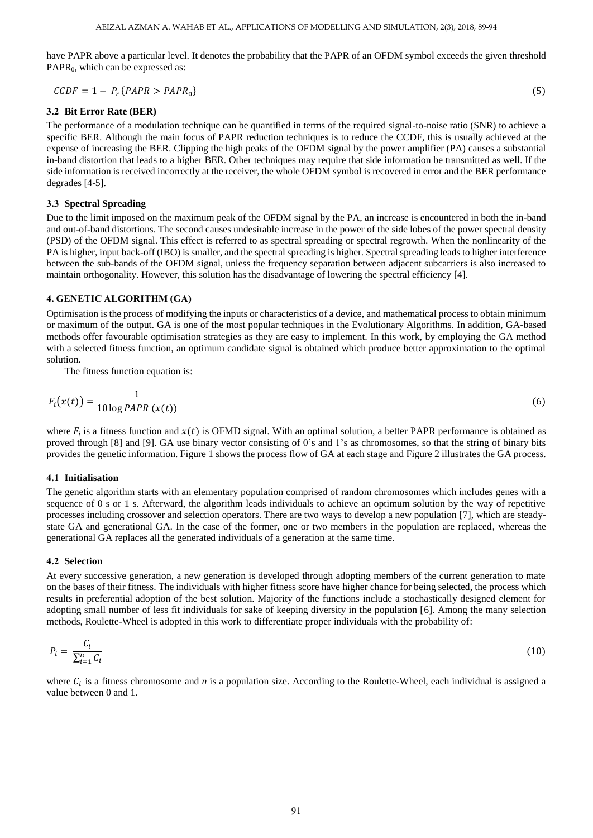have PAPR above a particular level. It denotes the probability that the PAPR of an OFDM symbol exceeds the given threshold PAPR<sub>0</sub>, which can be expressed as:

$$
\mathcal{CCDF} = 1 - P_r \{PAPR > PAPR_0\} \tag{5}
$$

# **3.2 Bit Error Rate (BER)**

The performance of a modulation technique can be quantified in terms of the required signal-to-noise ratio (SNR) to achieve a specific BER. Although the main focus of PAPR reduction techniques is to reduce the CCDF, this is usually achieved at the expense of increasing the BER. Clipping the high peaks of the OFDM signal by the power amplifier (PA) causes a substantial in-band distortion that leads to a higher BER. Other techniques may require that side information be transmitted as well. If the side information is received incorrectly at the receiver, the whole OFDM symbol is recovered in error and the BER performance degrades [4-5].

# **3.3 Spectral Spreading**

Due to the limit imposed on the maximum peak of the OFDM signal by the PA, an increase is encountered in both the in-band and out-of-band distortions. The second causes undesirable increase in the power of the side lobes of the power spectral density (PSD) of the OFDM signal. This effect is referred to as spectral spreading or spectral regrowth. When the nonlinearity of the PA is higher, input back-off (IBO) is smaller, and the spectral spreading is higher. Spectral spreading leads to higher interference between the sub-bands of the OFDM signal, unless the frequency separation between adjacent subcarriers is also increased to maintain orthogonality. However, this solution has the disadvantage of lowering the spectral efficiency [4].

# **4. GENETIC ALGORITHM (GA)**

Optimisation is the process of modifying the inputs or characteristics of a device, and mathematical process to obtain minimum or maximum of the output. GA is one of the most popular techniques in the Evolutionary Algorithms. In addition, GA-based methods offer favourable optimisation strategies as they are easy to implement. In this work, by employing the GA method with a selected fitness function, an optimum candidate signal is obtained which produce better approximation to the optimal solution.

The fitness function equation is:

$$
F_i(x(t)) = \frac{1}{10 \log PAPR\ (x(t))}
$$
\n<sup>(6)</sup>

where  $F_i$  is a fitness function and  $x(t)$  is OFMD signal. With an optimal solution, a better PAPR performance is obtained as proved through [8] and [9]. GA use binary vector consisting of 0's and 1's as chromosomes, so that the string of binary bits provides the genetic information. Figure 1 shows the process flow of GA at each stage and Figure 2 illustrates the GA process.

## **4.1 Initialisation**

The genetic algorithm starts with an elementary population comprised of random chromosomes which includes genes with a sequence of 0 s or 1 s. Afterward, the algorithm leads individuals to achieve an optimum solution by the way of repetitive processes including crossover and selection operators. There are two ways to develop a new population [7], which are steadystate GA and generational GA. In the case of the former, one or two members in the population are replaced, whereas the generational GA replaces all the generated individuals of a generation at the same time.

#### **4.2 Selection**

At every successive generation, a new generation is developed through adopting members of the current generation to mate on the bases of their fitness. The individuals with higher fitness score have higher chance for being selected, the process which results in preferential adoption of the best solution. Majority of the functions include a stochastically designed element for adopting small number of less fit individuals for sake of keeping diversity in the population [6]. Among the many selection methods, Roulette-Wheel is adopted in this work to differentiate proper individuals with the probability of:

$$
P_i = \frac{C_i}{\sum_{i=1}^n C_i} \tag{10}
$$

where  $C_i$  is a fitness chromosome and *n* is a population size. According to the Roulette-Wheel, each individual is assigned a value between 0 and 1.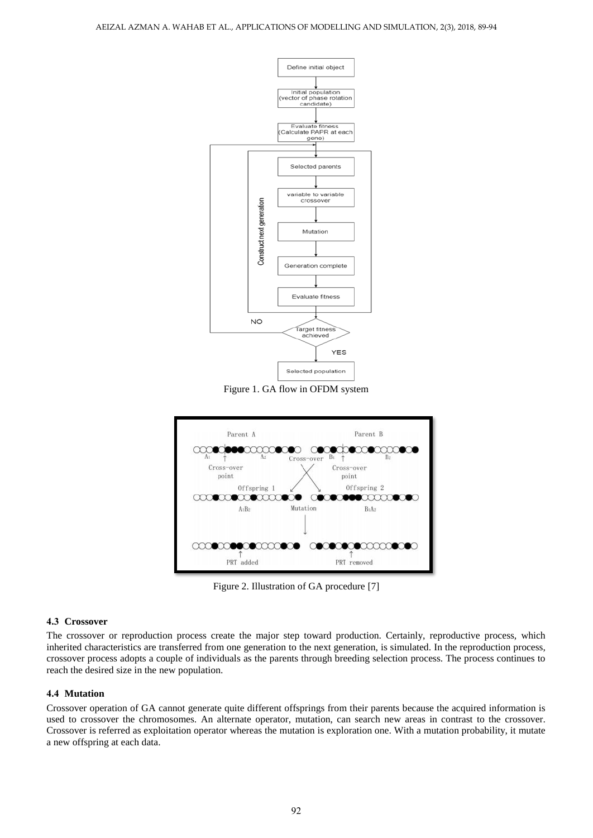

Figure 1. GA flow in OFDM system



Figure 2. Illustration of GA procedure [7]

## **4.3 Crossover**

The crossover or reproduction process create the major step toward production. Certainly, reproductive process, which inherited characteristics are transferred from one generation to the next generation, is simulated. In the reproduction process, crossover process adopts a couple of individuals as the parents through breeding selection process. The process continues to reach the desired size in the new population.

# **4.4 Mutation**

Crossover operation of GA cannot generate quite different offsprings from their parents because the acquired information is used to crossover the chromosomes. An alternate operator, mutation, can search new areas in contrast to the crossover. Crossover is referred as exploitation operator whereas the mutation is exploration one. With a mutation probability, it mutate a new offspring at each data.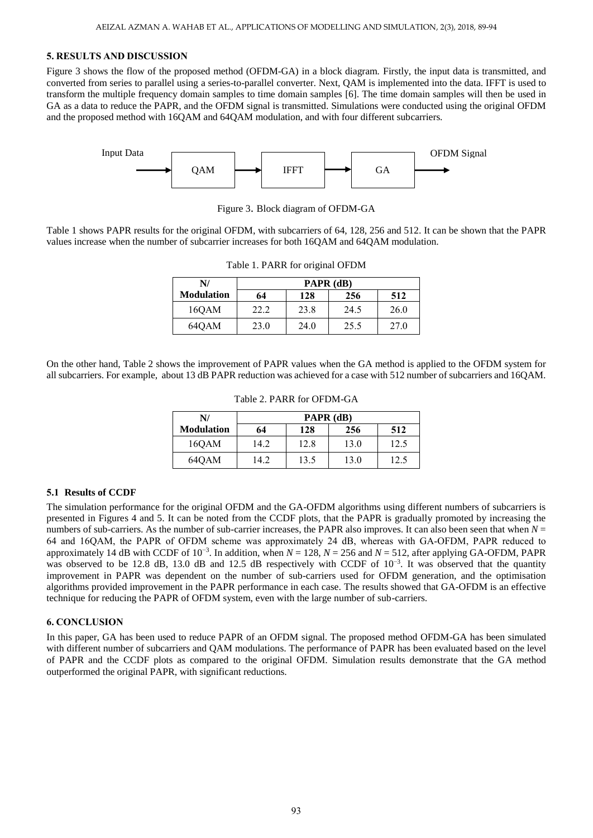# **5. RESULTS AND DISCUSSION**

Figure 3 shows the flow of the proposed method (OFDM-GA) in a block diagram*.* Firstly, the input data is transmitted, and converted from series to parallel using a series-to-parallel converter. Next, QAM is implemented into the data. IFFT is used to transform the multiple frequency domain samples to time domain samples [6]. The time domain samples will then be used in GA as a data to reduce the PAPR, and the OFDM signal is transmitted. Simulations were conducted using the original OFDM and the proposed method with 16QAM and 64QAM modulation, and with four different subcarriers.



Figure 3. Block diagram of OFDM-GA

Table 1 shows PAPR results for the original OFDM, with subcarriers of 64, 128, 256 and 512. It can be shown that the PAPR values increase when the number of subcarrier increases for both 16QAM and 64QAM modulation.

| N/                | PAPR (dB) |      |      |      |  |
|-------------------|-----------|------|------|------|--|
| <b>Modulation</b> | 64        | 128  | 256  | 512  |  |
| 160AM             | 22.2      | 23.8 | 24.5 | 26.0 |  |
| 64OAM             | 23.0      | 24.0 | 25.5 | 27.0 |  |

Table 1. PARR for original OFDM

On the other hand, Table 2 shows the improvement of PAPR values when the GA method is applied to the OFDM system for all subcarriers. For example, about 13 dB PAPR reduction was achieved for a case with 512 number of subcarriers and 16QAM.

| N/                | PAPR (dB) |      |      |      |  |
|-------------------|-----------|------|------|------|--|
| <b>Modulation</b> | 64        | 128  | 256  | 512  |  |
| 16QAM             | 14.2      | 12.8 | 13.0 | 12.5 |  |
| 640AM             | 14.2      | 13.5 | 13.0 | 12.5 |  |

Table 2. PARR for OFDM-GA

### **5.1 Results of CCDF**

The simulation performance for the original OFDM and the GA-OFDM algorithms using different numbers of subcarriers is presented in Figures 4 and 5. It can be noted from the CCDF plots, that the PAPR is gradually promoted by increasing the numbers of sub-carriers. As the number of sub-carrier increases, the PAPR also improves. It can also been seen that when  $N =$ 64 and 16QAM, the PAPR of OFDM scheme was approximately 24 dB, whereas with GA-OFDM, PAPR reduced to approximately 14 dB with CCDF of  $10^{-3}$ . In addition, when  $N = 128$ ,  $N = 256$  and  $N = 512$ , after applying GA-OFDM, PAPR was observed to be 12.8 dB, 13.0 dB and 12.5 dB respectively with CCDF of  $10^{-3}$ . It was observed that the quantity improvement in PAPR was dependent on the number of sub-carriers used for OFDM generation, and the optimisation algorithms provided improvement in the PAPR performance in each case. The results showed that GA-OFDM is an effective technique for reducing the PAPR of OFDM system, even with the large number of sub-carriers.

#### **6. CONCLUSION**

In this paper, GA has been used to reduce PAPR of an OFDM signal. The proposed method OFDM-GA has been simulated with different number of subcarriers and QAM modulations. The performance of PAPR has been evaluated based on the level of PAPR and the CCDF plots as compared to the original OFDM. Simulation results demonstrate that the GA method outperformed the original PAPR, with significant reductions.